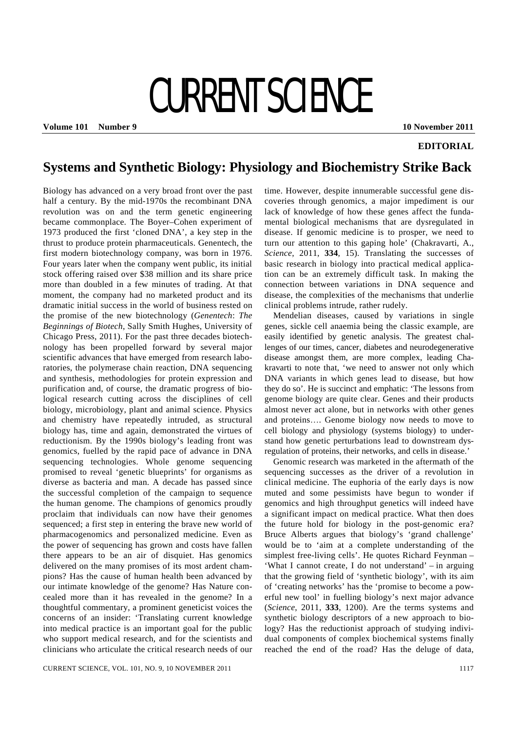## CURRENT SCIENCE

**Volume 101 Number 9 10 November 2011** 

## **EDITORIAL**

## **Systems and Synthetic Biology: Physiology and Biochemistry Strike Back**

Biology has advanced on a very broad front over the past half a century. By the mid-1970s the recombinant DNA revolution was on and the term genetic engineering became commonplace. The Boyer–Cohen experiment of 1973 produced the first 'cloned DNA', a key step in the thrust to produce protein pharmaceuticals. Genentech, the first modern biotechnology company, was born in 1976. Four years later when the company went public, its initial stock offering raised over \$38 million and its share price more than doubled in a few minutes of trading. At that moment, the company had no marketed product and its dramatic initial success in the world of business rested on the promise of the new biotechnology (*Genentech*: *The Beginnings of Biotech*, Sally Smith Hughes, University of Chicago Press, 2011). For the past three decades biotechnology has been propelled forward by several major scientific advances that have emerged from research laboratories, the polymerase chain reaction, DNA sequencing and synthesis, methodologies for protein expression and purification and, of course, the dramatic progress of biological research cutting across the disciplines of cell biology, microbiology, plant and animal science. Physics and chemistry have repeatedly intruded, as structural biology has, time and again, demonstrated the virtues of reductionism. By the 1990s biology's leading front was genomics, fuelled by the rapid pace of advance in DNA sequencing technologies. Whole genome sequencing promised to reveal 'genetic blueprints' for organisms as diverse as bacteria and man. A decade has passed since the successful completion of the campaign to sequence the human genome. The champions of genomics proudly proclaim that individuals can now have their genomes sequenced; a first step in entering the brave new world of pharmacogenomics and personalized medicine. Even as the power of sequencing has grown and costs have fallen there appears to be an air of disquiet. Has genomics delivered on the many promises of its most ardent champions? Has the cause of human health been advanced by our intimate knowledge of the genome? Has Nature concealed more than it has revealed in the genome? In a thoughtful commentary, a prominent geneticist voices the concerns of an insider: 'Translating current knowledge into medical practice is an important goal for the public who support medical research, and for the scientists and clinicians who articulate the critical research needs of our

time. However, despite innumerable successful gene discoveries through genomics, a major impediment is our lack of knowledge of how these genes affect the fundamental biological mechanisms that are dysregulated in disease. If genomic medicine is to prosper, we need to turn our attention to this gaping hole' (Chakravarti, A., *Science*, 2011, **334**, 15). Translating the successes of basic research in biology into practical medical application can be an extremely difficult task. In making the connection between variations in DNA sequence and disease, the complexities of the mechanisms that underlie clinical problems intrude, rather rudely.

 Mendelian diseases, caused by variations in single genes, sickle cell anaemia being the classic example, are easily identified by genetic analysis. The greatest challenges of our times, cancer, diabetes and neurodegenerative disease amongst them, are more complex, leading Chakravarti to note that, 'we need to answer not only which DNA variants in which genes lead to disease, but how they do so'. He is succinct and emphatic: 'The lessons from genome biology are quite clear. Genes and their products almost never act alone, but in networks with other genes and proteins…. Genome biology now needs to move to cell biology and physiology (systems biology) to understand how genetic perturbations lead to downstream dysregulation of proteins, their networks, and cells in disease.'

 Genomic research was marketed in the aftermath of the sequencing successes as the driver of a revolution in clinical medicine. The euphoria of the early days is now muted and some pessimists have begun to wonder if genomics and high throughput genetics will indeed have a significant impact on medical practice. What then does the future hold for biology in the post-genomic era? Bruce Alberts argues that biology's 'grand challenge' would be to 'aim at a complete understanding of the simplest free-living cells'. He quotes Richard Feynman – 'What I cannot create, I do not understand' – in arguing that the growing field of 'synthetic biology', with its aim of 'creating networks' has the 'promise to become a powerful new tool' in fuelling biology's next major advance (*Science*, 2011, **333**, 1200). Are the terms systems and synthetic biology descriptors of a new approach to biology? Has the reductionist approach of studying individual components of complex biochemical systems finally reached the end of the road? Has the deluge of data,